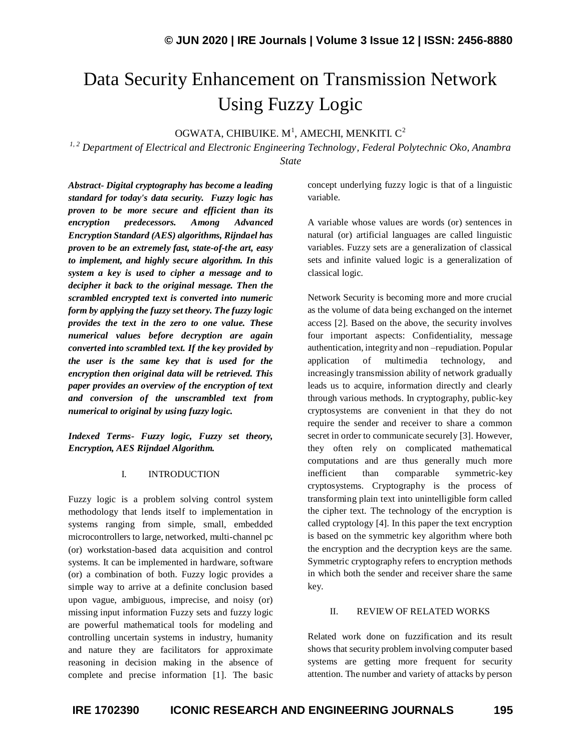# Data Security Enhancement on Transmission Network Using Fuzzy Logic

OGWATA, CHIBUIKE.  $M<sup>1</sup>$ , AMECHI, MENKITI. C<sup>2</sup>

*1, 2 Department of Electrical and Electronic Engineering Technology, Federal Polytechnic Oko, Anambra State*

*Abstract- Digital cryptography has become a leading standard for today's data security. Fuzzy logic has proven to be more secure and efficient than its encryption predecessors. Among Advanced Encryption Standard (AES) algorithms, Rijndael has proven to be an extremely fast, state-of-the art, easy to implement, and highly secure algorithm. In this system a key is used to cipher a message and to decipher it back to the original message. Then the scrambled encrypted text is converted into numeric form by applying the fuzzy set theory. The fuzzy logic provides the text in the zero to one value. These numerical values before decryption are again converted into scrambled text. If the key provided by the user is the same key that is used for the encryption then original data will be retrieved. This paper provides an overview of the encryption of text and conversion of the unscrambled text from numerical to original by using fuzzy logic.*

*Indexed Terms- Fuzzy logic, Fuzzy set theory, Encryption, AES Rijndael Algorithm.*

#### I. INTRODUCTION

Fuzzy logic is a problem solving control system methodology that lends itself to implementation in systems ranging from simple, small, embedded microcontrollers to large, networked, multi-channel pc (or) workstation-based data acquisition and control systems. It can be implemented in hardware, software (or) a combination of both. Fuzzy logic provides a simple way to arrive at a definite conclusion based upon vague, ambiguous, imprecise, and noisy (or) missing input information Fuzzy sets and fuzzy logic are powerful mathematical tools for modeling and controlling uncertain systems in industry, humanity and nature they are facilitators for approximate reasoning in decision making in the absence of complete and precise information [1]. The basic concept underlying fuzzy logic is that of a linguistic variable.

A variable whose values are words (or) sentences in natural (or) artificial languages are called linguistic variables. Fuzzy sets are a generalization of classical sets and infinite valued logic is a generalization of classical logic.

Network Security is becoming more and more crucial as the volume of data being exchanged on the internet access [2]. Based on the above, the security involves four important aspects: Confidentiality, message authentication, integrity and non –repudiation. Popular application of multimedia technology, increasingly transmission ability of network gradually leads us to acquire, information directly and clearly through various methods. In cryptography, public-key cryptosystems are convenient in that they do not require the sender and receiver to share a common secret in order to communicate securely [3]. However, they often rely on complicated mathematical computations and are thus generally much more inefficient than comparable symmetric-key cryptosystems. Cryptography is the process of transforming plain text into unintelligible form called the cipher text. The technology of the encryption is called cryptology [4]. In this paper the text encryption is based on the symmetric key algorithm where both the encryption and the decryption keys are the same. Symmetric cryptography refers to encryption methods in which both the sender and receiver share the same key.

#### II. REVIEW OF RELATED WORKS

Related work done on fuzzification and its result shows that security problem involving computer based systems are getting more frequent for security attention. The number and variety of attacks by person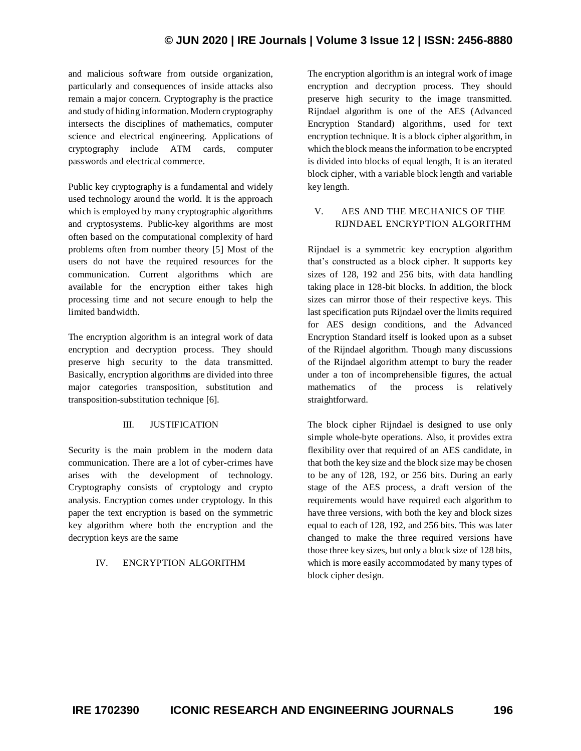# **© JUN 2020 | IRE Journals | Volume 3 Issue 12 | ISSN: 2456-8880**

and malicious software from outside organization, particularly and consequences of inside attacks also remain a major concern. Cryptography is the practice and study of hiding information. Modern cryptography intersects the disciplines of mathematics, computer science and electrical engineering. Applications of cryptography include ATM cards, computer passwords and electrical commerce.

Public key cryptography is a fundamental and widely used technology around the world. It is the approach which is employed by many cryptographic algorithms and cryptosystems. Public-key algorithms are most often based on the computational complexity of hard problems often from number theory [5] Most of the users do not have the required resources for the communication. Current algorithms which are available for the encryption either takes high processing time and not secure enough to help the limited bandwidth.

The encryption algorithm is an integral work of data encryption and decryption process. They should preserve high security to the data transmitted. Basically, encryption algorithms are divided into three major categories transposition, substitution and transposition-substitution technique [6].

### III. JUSTIFICATION

Security is the main problem in the modern data communication. There are a lot of cyber-crimes have arises with the development of technology. Cryptography consists of cryptology and crypto analysis. Encryption comes under cryptology. In this paper the text encryption is based on the symmetric key algorithm where both the encryption and the decryption keys are the same

## IV. ENCRYPTION ALGORITHM

The encryption algorithm is an integral work of image encryption and decryption process. They should preserve high security to the image transmitted. Rijndael algorithm is one of the AES (Advanced Encryption Standard) algorithms, used for text encryption technique. It is a block cipher algorithm, in which the block means the information to be encrypted is divided into blocks of equal length, It is an iterated block cipher, with a variable block length and variable key length.

# V. AES AND THE MECHANICS OF THE RIJNDAEL ENCRYPTION ALGORITHM

Rijndael is a symmetric key encryption algorithm that's constructed as a block cipher. It supports key sizes of 128, 192 and 256 bits, with data handling taking place in 128-bit blocks. In addition, the block sizes can mirror those of their respective keys. This last specification puts Rijndael over the limits required for AES design conditions, and the Advanced Encryption Standard itself is looked upon as a subset of the Rijndael algorithm. Though many discussions of the Rijndael algorithm attempt to bury the reader under a ton of incomprehensible figures, the actual mathematics of the process is relatively straightforward.

The block cipher Rijndael is designed to use only simple whole-byte operations. Also, it provides extra flexibility over that required of an AES candidate, in that both the key size and the block size may be chosen to be any of 128, 192, or 256 bits. During an early stage of the AES process, a draft version of the requirements would have required each algorithm to have three versions, with both the key and block sizes equal to each of 128, 192, and 256 bits. This was later changed to make the three required versions have those three key sizes, but only a block size of 128 bits, which is more easily accommodated by many types of block cipher design.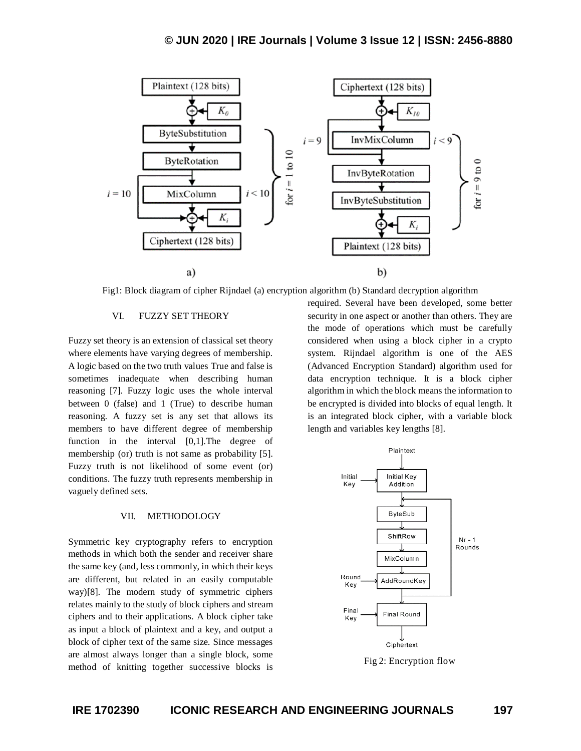

Fig1: Block diagram of cipher Rijndael (a) encryption algorithm (b) Standard decryption algorithm

#### VI. FUZZY SET THEORY

Fuzzy set theory is an extension of classical set theory where elements have varying degrees of membership. A logic based on the two truth values True and false is sometimes inadequate when describing human reasoning [7]. Fuzzy logic uses the whole interval between 0 (false) and 1 (True) to describe human reasoning. A fuzzy set is any set that allows its members to have different degree of membership function in the interval [0,1].The degree of membership (or) truth is not same as probability [5]. Fuzzy truth is not likelihood of some event (or) conditions. The fuzzy truth represents membership in vaguely defined sets.

#### VII. METHODOLOGY

Symmetric key cryptography refers to encryption methods in which both the sender and receiver share the same key (and, less commonly, in which their keys are different, but related in an easily computable way)[8]. The modern study of symmetric ciphers relates mainly to the study of block ciphers and stream ciphers and to their applications. A block cipher take as input a block of plaintext and a key, and output a block of cipher text of the same size. Since messages are almost always longer than a single block, some method of knitting together successive blocks is

required. Several have been developed, some better security in one aspect or another than others. They are the mode of operations which must be carefully considered when using a block cipher in a crypto system. Rijndael algorithm is one of the AES (Advanced Encryption Standard) algorithm used for data encryption technique. It is a block cipher algorithm in which the block means the information to be encrypted is divided into blocks of equal length. It is an integrated block cipher, with a variable block length and variables key lengths [8].



Fig 2: Encryption flow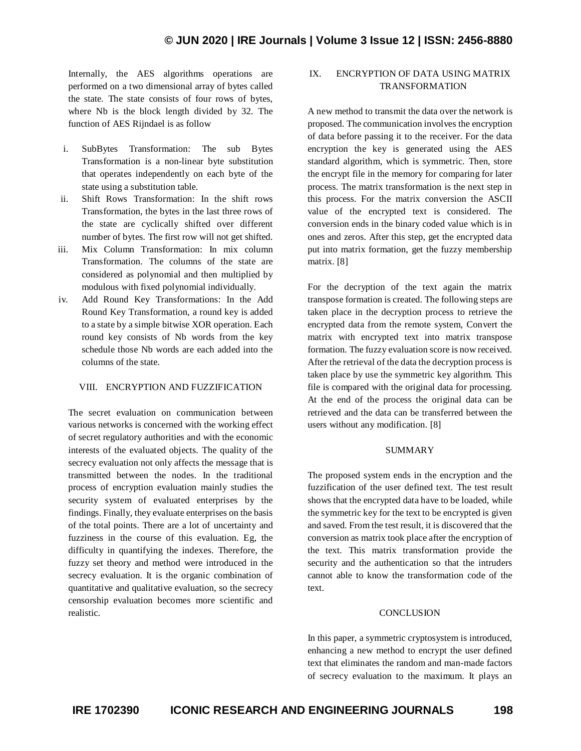Internally, the AES algorithms operations are performed on a two dimensional array of bytes called the state. The state consists of four rows of bytes, where Nb is the block length divided by 32. The function of AES Rijndael is as follow

- i. SubBytes Transformation: The sub Bytes Transformation is a non-linear byte substitution that operates independently on each byte of the state using a substitution table.
- ii. Shift Rows Transformation: In the shift rows Transformation, the bytes in the last three rows of the state are cyclically shifted over different number of bytes. The first row will not get shifted.
- iii. Mix Column Transformation: In mix column Transformation. The columns of the state are considered as polynomial and then multiplied by modulous with fixed polynomial individually.
- iv. Add Round Key Transformations: In the Add Round Key Transformation, a round key is added to a state by a simple bitwise XOR operation. Each round key consists of Nb words from the key schedule those Nb words are each added into the columns of the state.

#### VIII. ENCRYPTION AND FUZZIFICATION

The secret evaluation on communication between various networks is concerned with the working effect of secret regulatory authorities and with the economic interests of the evaluated objects. The quality of the secrecy evaluation not only affects the message that is transmitted between the nodes. In the traditional process of encryption evaluation mainly studies the security system of evaluated enterprises by the findings. Finally, they evaluate enterprises on the basis of the total points. There are a lot of uncertainty and fuzziness in the course of this evaluation. Eg, the difficulty in quantifying the indexes. Therefore, the fuzzy set theory and method were introduced in the secrecy evaluation. It is the organic combination of quantitative and qualitative evaluation, so the secrecy censorship evaluation becomes more scientific and realistic.

# IX. ENCRYPTION OF DATA USING MATRIX TRANSFORMATION

A new method to transmit the data over the network is proposed. The communication involves the encryption of data before passing it to the receiver. For the data encryption the key is generated using the AES standard algorithm, which is symmetric. Then, store the encrypt file in the memory for comparing for later process. The matrix transformation is the next step in this process. For the matrix conversion the ASCII value of the encrypted text is considered. The conversion ends in the binary coded value which is in ones and zeros. After this step, get the encrypted data put into matrix formation, get the fuzzy membership matrix. [8]

For the decryption of the text again the matrix transpose formation is created. The following steps are taken place in the decryption process to retrieve the encrypted data from the remote system, Convert the matrix with encrypted text into matrix transpose formation. The fuzzy evaluation score is now received. After the retrieval of the data the decryption process is taken place by use the symmetric key algorithm. This file is compared with the original data for processing. At the end of the process the original data can be retrieved and the data can be transferred between the users without any modification. [8]

#### **SUMMARY**

The proposed system ends in the encryption and the fuzzification of the user defined text. The test result shows that the encrypted data have to be loaded, while the symmetric key for the text to be encrypted is given and saved. From the test result, it is discovered that the conversion as matrix took place after the encryption of the text. This matrix transformation provide the security and the authentication so that the intruders cannot able to know the transformation code of the text.

#### **CONCLUSION**

In this paper, a symmetric cryptosystem is introduced, enhancing a new method to encrypt the user defined text that eliminates the random and man-made factors of secrecy evaluation to the maximum. It plays an